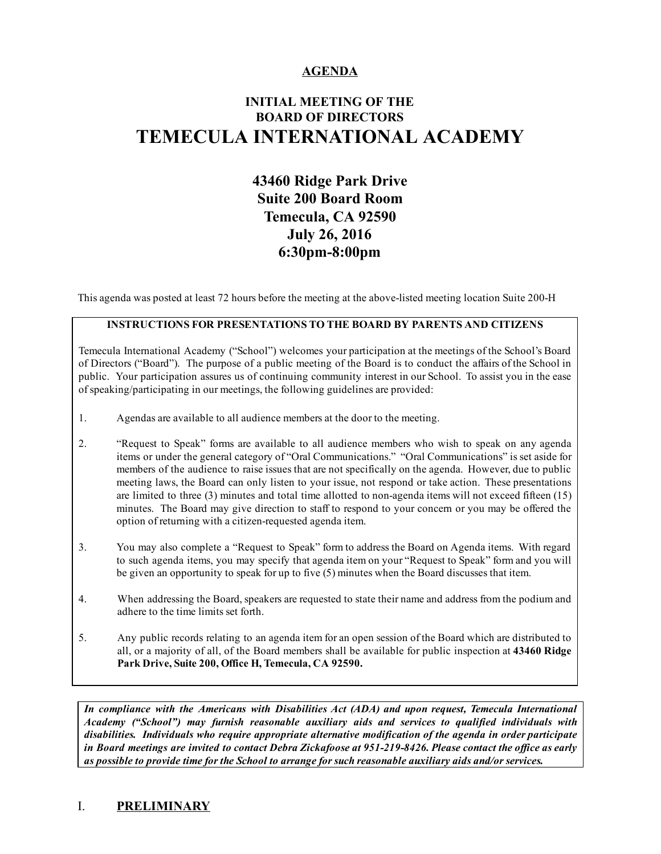## AGENDA

# INITIAL MEETING OF THE BOARD OF DIRECTORS TEMECULA INTERNATIONAL ACADEMY

# 43460 Ridge Park Drive Suite 200 Board Room Temecula, CA 92590 July 26, 2016 6:30pm-8:00pm

This agenda was posted at least 72 hours before the meeting at the above-listed meeting location Suite 200-H

#### INSTRUCTIONS FOR PRESENTATIONS TO THE BOARD BY PARENTS AND CITIZENS

Temecula International Academy ("School") welcomes your participation at the meetings of the School's Board of Directors ("Board"). The purpose of a public meeting of the Board is to conduct the affairs of the School in public. Your participation assures us of continuing community interest in our School. To assist you in the ease ofspeaking/participating in our meetings, the following guidelines are provided:

- 1. Agendas are available to all audience members at the door to the meeting.
- 2. "Request to Speak" forms are available to all audience members who wish to speak on any agenda items or under the general category of "Oral Communications." "Oral Communications" is set aside for members of the audience to raise issues that are not specifically on the agenda. However, due to public meeting laws, the Board can only listen to your issue, not respond or take action. These presentations are limited to three  $(3)$  minutes and total time allotted to non-agenda items will not exceed fifteen  $(15)$ minutes. The Board may give direction to staff to respond to your concern or you may be offered the option of returning with a citizen-requested agenda item.
- 3. You may also complete a "Request to Speak" form to address the Board on Agenda items. With regard to such agenda items, you may specify that agenda item on your "Request to Speak" form and you will be given an opportunity to speak for up to five (5) minutes when the Board discusses that item.
- 4. When addressing the Board, speakers are requested to state their name and address from the podium and adhere to the time limits set forth.
- 5. Any public records relating to an agenda item for an open session of the Board which are distributed to all, or a majority of all, of the Board members shall be available for public inspection at 43460 Ridge Park Drive, Suite 200, Office H, Temecula, CA 92590.

*In compliance with the Americans with Disabilities Act (ADA) and upon request, Temecula International Academy ("School") may furnish reasonable auxiliary aids and services to qualified individuals with disabilities. Individuals who require appropriate alternative modification of the agenda in order participate* in Board meetings are invited to contact Debra Zickafoose at 951-219-8426. Please contact the office as early *as possible to provide time for the School to arrange for such reasonable auxiliary aids and/or services.*

## I. PRELIMINARY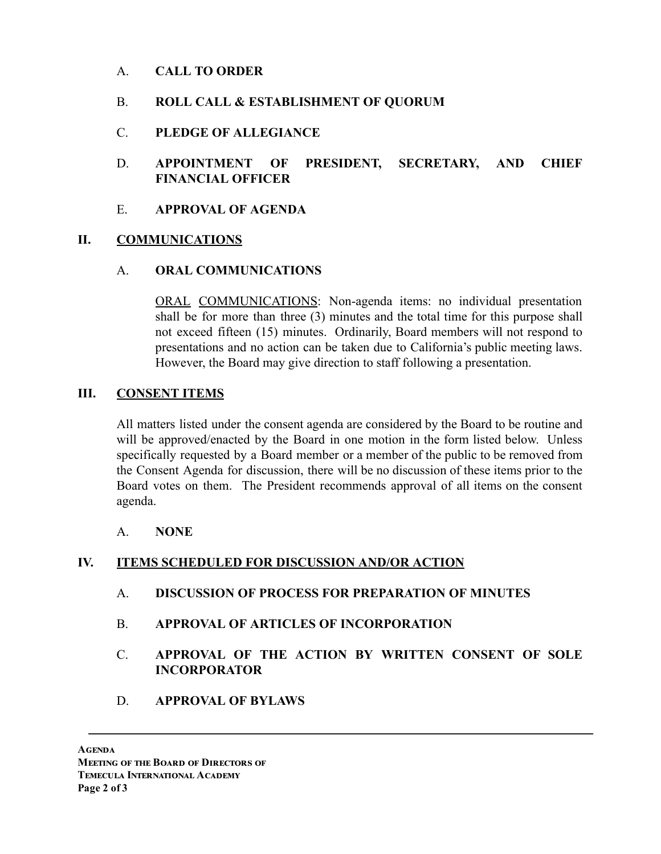# A. CALL TO ORDER

# B. ROLL CALL & ESTABLISHMENT OF QUORUM

- C. PLEDGE OF ALLEGIANCE
- D. APPOINTMENT OF PRESIDENT, SECRETARY, AND CHIEF FINANCIAL OFFICER
- E. APPROVAL OF AGENDA

# II. COMMUNICATIONS

## A. ORAL COMMUNICATIONS

ORAL COMMUNICATIONS: Non-agenda items: no individual presentation shall be for more than three (3) minutes and the total time for this purpose shall not exceed fifteen (15) minutes. Ordinarily, Board members will not respond to presentations and no action can be taken due to California's public meeting laws. However, the Board may give direction to staff following a presentation.

## III. CONSENT ITEMS

All matters listed under the consent agenda are considered by the Board to be routine and will be approved/enacted by the Board in one motion in the form listed below. Unless specifically requested by a Board member or a member of the public to be removed from the Consent Agenda for discussion, there will be no discussion of these items prior to the Board votes on them. The President recommends approval of all items on the consent agenda.

A. NONE

## IV. ITEMS SCHEDULED FOR DISCUSSION AND/OR ACTION

- A. DISCUSSION OF PROCESS FOR PREPARATION OF MINUTES
- B. APPROVAL OF ARTICLES OF INCORPORATION
- C. APPROVAL OF THE ACTION BY WRITTEN CONSENT OF SOLE INCORPORATOR
- D. APPROVAL OF BYLAWS